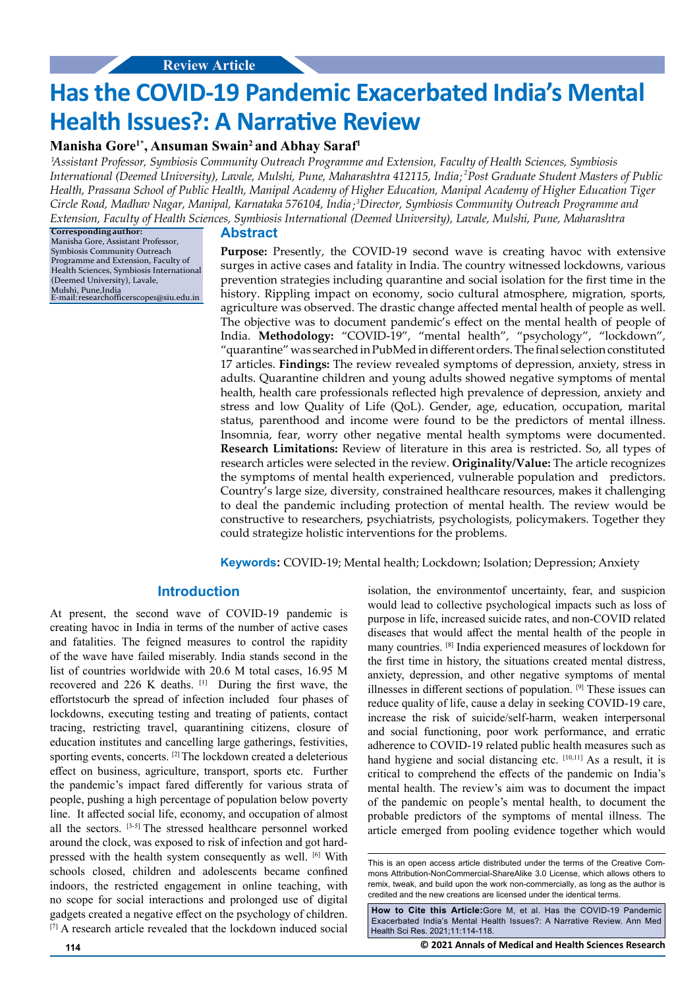# **Has the COVID-19 Pandemic Exacerbated India's Mental Health Issues?: A Narrative Review**

## **Manisha Gore1\*, Ansuman Swain2 and Abhay Saraf1**

 *Assistant Professor, Symbiosis Community Outreach Programme and Extension, Faculty of Health Sciences, Symbiosis 1* International (Deemed University), Lavale, Mulshi, Pune, Maharashtra 412115, India;<sup>2</sup>Post Graduate Student Masters of Public *Health, Prassana School of Public Health, Manipal Academy of Higher Education, Manipal Academy of Higher Education Tiger*  Circle Road, Madhav Nagar, Manipal, Karnataka 576104, India;<sup>3</sup>Director, Symbiosis Community Outreach Programme and *Extension, Faculty of Health Sciences, Symbiosis International (Deemed University), Lavale, Mulshi, Pune, Maharashtra*

**Corresponding author:** Manisha Gore, Assistant Professor, Symbiosis Community Outreach Programme and Extension, Faculty of Health Sciences, Symbiosis International (Deem[ed University\), Lavale,](mailto:mentorscarepublication@gmail.com) Mulshi, Pune,India [E-ma](mailto:mentorscarepublication@gmail.com)il: researchofficerscope1@siu.edu.in

#### **Abstract**

**Purpose:** Presently, the COVID-19 second wave is creating havoc with extensive surges in active cases and fatality in India. The country witnessed lockdowns, various prevention strategies including quarantine and social isolation for the first time in the history. Rippling impact on economy, socio cultural atmosphere, migration, sports, agriculture was observed. The drastic change affected mental health of people as well. The objective was to document pandemic's effect on the mental health of people of India. **Methodology:** "COVID-19", "mental health", "psychology", "lockdown", "quarantine" was searched in PubMed in different orders. The final selection constituted 17 articles. **Findings:** The review revealed symptoms of depression, anxiety, stress in adults. Quarantine children and young adults showed negative symptoms of mental health, health care professionals reflected high prevalence of depression, anxiety and stress and low Quality of Life (QoL). Gender, age, education, occupation, marital status, parenthood and income were found to be the predictors of mental illness. Insomnia, fear, worry other negative mental health symptoms were documented. **Research Limitations:** Review of literature in this area is restricted. So, all types of research articles were selected in the review. **Originality/Value:** The article recognizes the symptoms of mental health experienced, vulnerable population and predictors. Country's large size, diversity, constrained healthcare resources, makes it challenging to deal the pandemic including protection of mental health. The review would be constructive to researchers, psychiatrists, psychologists, policymakers. Together they could strategize holistic interventions for the problems.

**Keywords:** COVID-19; Mental health; Lockdown; Isolation; Depression; Anxiety

## **Introduction**

At present, the second wave of COVID-19 pandemic is creating havoc in India in terms of the number of active cases and fatalities. The feigned measures to control the rapidity of the wave have failed miserably. India stands second in the list of countries worldwide with 20.6 M total cases, 16.95 M recovered and 226 K deaths. [1] During the first wave, the effortstocurb the spread of infection included four phases of lockdowns, executing testing and treating of patients, contact tracing, restricting travel, quarantining citizens, closure of education institutes and cancelling large gatherings, festivities, sporting events, concerts. [2] The lockdown created a deleterious effect on business, agriculture, transport, sports etc. Further the pandemic's impact fared differently for various strata of people, pushing a high percentage of population below poverty line. It affected social life, economy, and occupation of almost all the sectors. [3-5] The stressed healthcare personnel worked around the clock, was exposed to risk of infection and got hardpressed with the health system consequently as well. [6] With schools closed, children and adolescents became confined indoors, the restricted engagement in online teaching, with no scope for social interactions and prolonged use of digital gadgets created a negative effect on the psychology of children. [7] A research article revealed that the lockdown induced social

isolation, the environmentof uncertainty, fear, and suspicion would lead to collective psychological impacts such as loss of purpose in life, increased suicide rates, and non-COVID related diseases that would affect the mental health of the people in many countries. [8] India experienced measures of lockdown for the first time in history, the situations created mental distress, anxiety, depression, and other negative symptoms of mental illnesses in different sections of population. [9] These issues can reduce quality of life, cause a delay in seeking COVID-19 care, increase the risk of suicide/self-harm, weaken interpersonal and social functioning, poor work performance, and erratic adherence to COVID-19 related public health measures such as hand hygiene and social distancing etc. [10,11] As a result, it is critical to comprehend the effects of the pandemic on India's mental health. The review's aim was to document the impact of the pandemic on people's mental health, to document the probable predictors of the symptoms of mental illness. The article emerged from pooling evidence together which would

**How to Cite this Article:**Gore M, et al. Has the COVID-19 Pandemic Exacerbated India's Mental Health Issues?: A Narrative Review. Ann Med Health Sci Res. 2021;11:114-118.

**114 © 2021 Annals of Medical and Health Sciences Research** 

This is an open access article distributed under the terms of the Creative Commons Attribution-NonCommercial-ShareAlike 3.0 License, which allows others to remix, tweak, and build upon the work non-commercially, as long as the author is credited and the new creations are licensed under the identical terms.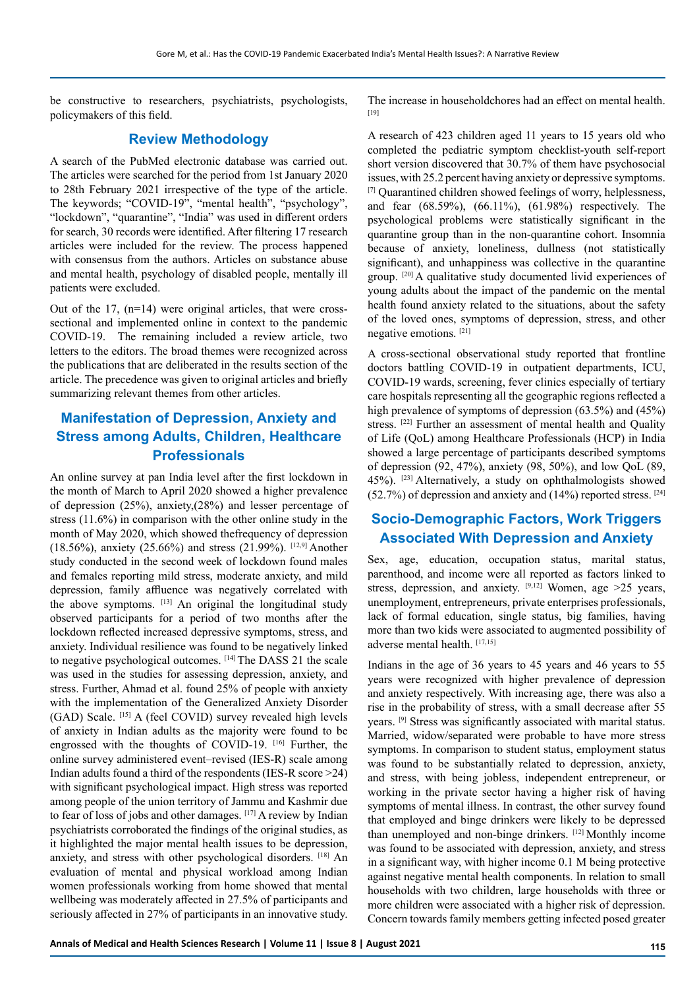be constructive to researchers, psychiatrists, psychologists, policymakers of this field.

# **Review Methodology**

A search of the PubMed electronic database was carried out. The articles were searched for the period from 1st January 2020 to 28th February 2021 irrespective of the type of the article. The keywords; "COVID-19", "mental health", "psychology", "lockdown", "quarantine", "India" was used in different orders for search, 30 records were identified. After filtering 17 research articles were included for the review. The process happened with consensus from the authors. Articles on substance abuse and mental health, psychology of disabled people, mentally ill patients were excluded.

Out of the 17, (n=14) were original articles, that were crosssectional and implemented online in context to the pandemic COVID-19. The remaining included a review article, two letters to the editors. The broad themes were recognized across the publications that are deliberated in the results section of the article. The precedence was given to original articles and briefly summarizing relevant themes from other articles.

# **Manifestation of Depression, Anxiety and Stress among Adults, Children, Healthcare Professionals**

An online survey at pan India level after the first lockdown in the month of March to April 2020 showed a higher prevalence of depression (25%), anxiety,(28%) and lesser percentage of stress (11.6%) in comparison with the other online study in the month of May 2020, which showed thefrequency of depression (18.56%), anxiety (25.66%) and stress (21.99%). [12,9] Another study conducted in the second week of lockdown found males and females reporting mild stress, moderate anxiety, and mild depression, family affluence was negatively correlated with the above symptoms. [13] An original the longitudinal study observed participants for a period of two months after the lockdown reflected increased depressive symptoms, stress, and anxiety. Individual resilience was found to be negatively linked to negative psychological outcomes. [14] The DASS 21 the scale was used in the studies for assessing depression, anxiety, and stress. Further, Ahmad et al. found 25% of people with anxiety with the implementation of the Generalized Anxiety Disorder (GAD) Scale. [15] A (feel COVID) survey revealed high levels of anxiety in Indian adults as the majority were found to be engrossed with the thoughts of COVID-19. [16] Further, the online survey administered event–revised (IES-R) scale among Indian adults found a third of the respondents (IES-R score >24) with significant psychological impact. High stress was reported among people of the union territory of Jammu and Kashmir due to fear of loss of jobs and other damages. [17] A review by Indian psychiatrists corroborated the findings of the original studies, as it highlighted the major mental health issues to be depression, anxiety, and stress with other psychological disorders. [18] An evaluation of mental and physical workload among Indian women professionals working from home showed that mental wellbeing was moderately affected in 27.5% of participants and seriously affected in 27% of participants in an innovative study.

The increase in householdchores had an effect on mental health. [19]

A research of 423 children aged 11 years to 15 years old who completed the pediatric symptom checklist-youth self-report short version discovered that 30.7% of them have psychosocial issues, with 25.2 percent having anxiety or depressive symptoms. [7] Quarantined children showed feelings of worry, helplessness, and fear (68.59%), (66.11%), (61.98%) respectively. The psychological problems were statistically significant in the quarantine group than in the non-quarantine cohort. Insomnia because of anxiety, loneliness, dullness (not statistically significant), and unhappiness was collective in the quarantine group. [20] A qualitative study documented livid experiences of young adults about the impact of the pandemic on the mental health found anxiety related to the situations, about the safety of the loved ones, symptoms of depression, stress, and other negative emotions. [21]

A cross-sectional observational study reported that frontline doctors battling COVID-19 in outpatient departments, ICU, COVID-19 wards, screening, fever clinics especially of tertiary care hospitals representing all the geographic regions reflected a high prevalence of symptoms of depression (63.5%) and (45%) stress. <sup>[22]</sup> Further an assessment of mental health and Quality of Life (QoL) among Healthcare Professionals (HCP) in India showed a large percentage of participants described symptoms of depression (92, 47%), anxiety (98, 50%), and low QoL (89, 45%). [23] Alternatively, a study on ophthalmologists showed  $(52.7%)$  of depression and anxiety and  $(14%)$  reported stress. <sup>[24]</sup>

# **Socio-Demographic Factors, Work Triggers Associated With Depression and Anxiety**

Sex, age, education, occupation status, marital status, parenthood, and income were all reported as factors linked to stress, depression, and anxiety.  $[9,12]$  Women, age >25 years, unemployment, entrepreneurs, private enterprises professionals, lack of formal education, single status, big families, having more than two kids were associated to augmented possibility of adverse mental health. [17,15]

Indians in the age of 36 years to 45 years and 46 years to 55 years were recognized with higher prevalence of depression and anxiety respectively. With increasing age, there was also a rise in the probability of stress, with a small decrease after 55 years. [9] Stress was significantly associated with marital status. Married, widow/separated were probable to have more stress symptoms. In comparison to student status, employment status was found to be substantially related to depression, anxiety, and stress, with being jobless, independent entrepreneur, or working in the private sector having a higher risk of having symptoms of mental illness. In contrast, the other survey found that employed and binge drinkers were likely to be depressed than unemployed and non-binge drinkers. [12] Monthly income was found to be associated with depression, anxiety, and stress in a significant way, with higher income 0.1 M being protective against negative mental health components. In relation to small households with two children, large households with three or more children were associated with a higher risk of depression. Concern towards family members getting infected posed greater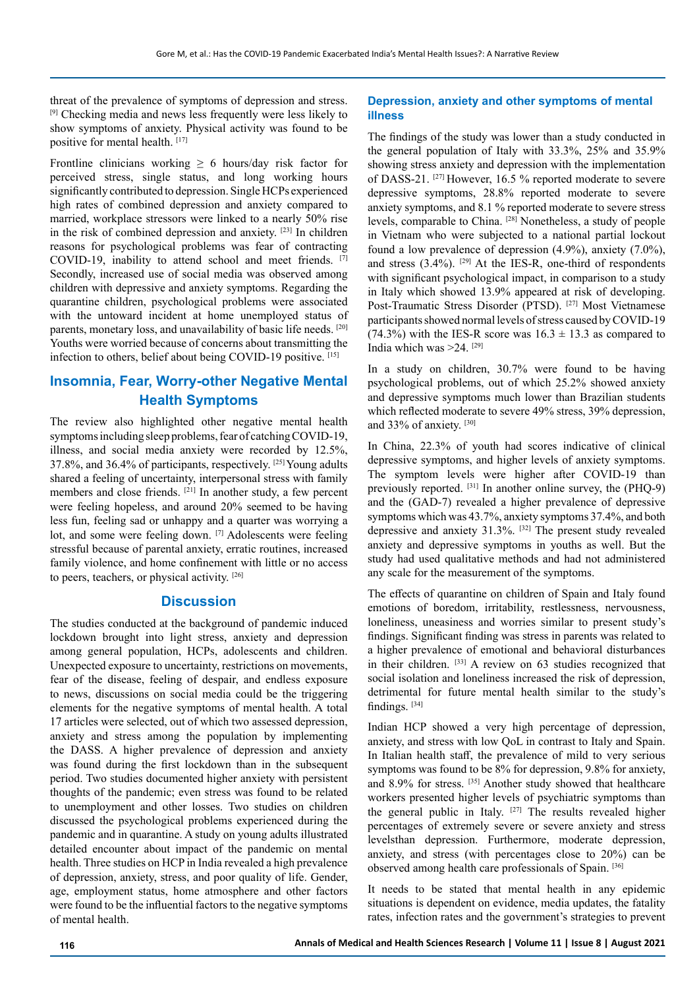threat of the prevalence of symptoms of depression and stress. [9] Checking media and news less frequently were less likely to show symptoms of anxiety. Physical activity was found to be positive for mental health. [17]

Frontline clinicians working  $\geq 6$  hours/day risk factor for perceived stress, single status, and long working hours significantly contributed to depression. Single HCPs experienced high rates of combined depression and anxiety compared to married, workplace stressors were linked to a nearly 50% rise in the risk of combined depression and anxiety. [23] In children reasons for psychological problems was fear of contracting COVID-19, inability to attend school and meet friends. [7] Secondly, increased use of social media was observed among children with depressive and anxiety symptoms. Regarding the quarantine children, psychological problems were associated with the untoward incident at home unemployed status of parents, monetary loss, and unavailability of basic life needs. [20] Youths were worried because of concerns about transmitting the infection to others, belief about being COVID-19 positive. [15]

# **Insomnia, Fear, Worry-other Negative Mental Health Symptoms**

The review also highlighted other negative mental health symptoms including sleep problems, fear of catching COVID-19, illness, and social media anxiety were recorded by 12.5%, 37.8%, and 36.4% of participants, respectively. [25] Young adults shared a feeling of uncertainty, interpersonal stress with family members and close friends. [21] In another study, a few percent were feeling hopeless, and around 20% seemed to be having less fun, feeling sad or unhappy and a quarter was worrying a lot, and some were feeling down. [7] Adolescents were feeling stressful because of parental anxiety, erratic routines, increased family violence, and home confinement with little or no access to peers, teachers, or physical activity. [26]

## **Discussion**

The studies conducted at the background of pandemic induced lockdown brought into light stress, anxiety and depression among general population, HCPs, adolescents and children. Unexpected exposure to uncertainty, restrictions on movements, fear of the disease, feeling of despair, and endless exposure to news, discussions on social media could be the triggering elements for the negative symptoms of mental health. A total 17 articles were selected, out of which two assessed depression, anxiety and stress among the population by implementing the DASS. A higher prevalence of depression and anxiety was found during the first lockdown than in the subsequent period. Two studies documented higher anxiety with persistent thoughts of the pandemic; even stress was found to be related to unemployment and other losses. Two studies on children discussed the psychological problems experienced during the pandemic and in quarantine. A study on young adults illustrated detailed encounter about impact of the pandemic on mental health. Three studies on HCP in India revealed a high prevalence of depression, anxiety, stress, and poor quality of life. Gender, age, employment status, home atmosphere and other factors were found to be the influential factors to the negative symptoms of mental health.

#### **Depression, anxiety and other symptoms of mental illness**

The findings of the study was lower than a study conducted in the general population of Italy with 33.3%, 25% and 35.9% showing stress anxiety and depression with the implementation of DASS-21. [27] However, 16.5 % reported moderate to severe depressive symptoms, 28.8% reported moderate to severe anxiety symptoms, and 8.1 % reported moderate to severe stress levels, comparable to China. [28] Nonetheless, a study of people in Vietnam who were subjected to a national partial lockout found a low prevalence of depression (4.9%), anxiety (7.0%), and stress  $(3.4\%)$ . <sup>[29]</sup> At the IES-R, one-third of respondents with significant psychological impact, in comparison to a study in Italy which showed 13.9% appeared at risk of developing. Post-Traumatic Stress Disorder (PTSD). [27] Most Vietnamese participants showed normal levels of stress caused by COVID-19 (74.3%) with the IES-R score was  $16.3 \pm 13.3$  as compared to India which was >24. [29]

In a study on children, 30.7% were found to be having psychological problems, out of which 25.2% showed anxiety and depressive symptoms much lower than Brazilian students which reflected moderate to severe 49% stress, 39% depression, and 33% of anxiety. [30]

In China, 22.3% of youth had scores indicative of clinical depressive symptoms, and higher levels of anxiety symptoms. The symptom levels were higher after COVID-19 than previously reported. [31] In another online survey, the (PHQ-9) and the (GAD-7) revealed a higher prevalence of depressive symptoms which was 43.7%, anxiety symptoms 37.4%, and both depressive and anxiety 31.3%. [32] The present study revealed anxiety and depressive symptoms in youths as well. But the study had used qualitative methods and had not administered any scale for the measurement of the symptoms.

The effects of quarantine on children of Spain and Italy found emotions of boredom, irritability, restlessness, nervousness, loneliness, uneasiness and worries similar to present study's findings. Significant finding was stress in parents was related to a higher prevalence of emotional and behavioral disturbances in their children. [33] A review on 63 studies recognized that social isolation and loneliness increased the risk of depression, detrimental for future mental health similar to the study's findings.<sup>[34]</sup>

Indian HCP showed a very high percentage of depression, anxiety, and stress with low QoL in contrast to Italy and Spain. In Italian health staff, the prevalence of mild to very serious symptoms was found to be 8% for depression, 9.8% for anxiety, and 8.9% for stress. [35] Another study showed that healthcare workers presented higher levels of psychiatric symptoms than the general public in Italy.  $[27]$  The results revealed higher percentages of extremely severe or severe anxiety and stress levelsthan depression. Furthermore, moderate depression, anxiety, and stress (with percentages close to 20%) can be observed among health care professionals of Spain. [36]

It needs to be stated that mental health in any epidemic situations is dependent on evidence, media updates, the fatality rates, infection rates and the government's strategies to prevent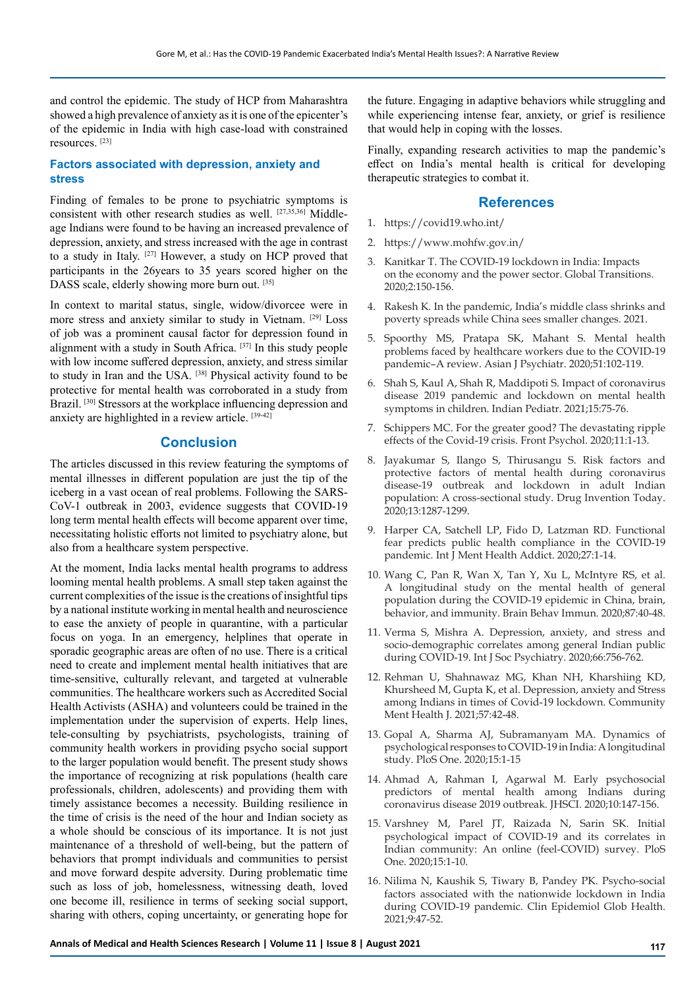and control the epidemic. The study of HCP from Maharashtra showed a high prevalence of anxiety as it is one of the epicenter's of the epidemic in India with high case-load with constrained resources. [23]

#### **Factors associated with depression, anxiety and stress**

Finding of females to be prone to psychiatric symptoms is consistent with other research studies as well. [27,35,36] Middleage Indians were found to be having an increased prevalence of depression, anxiety, and stress increased with the age in contrast to a study in Italy. [27] However, a study on HCP proved that participants in the 26years to 35 years scored higher on the DASS scale, elderly showing more burn out. [35]

In context to marital status, single, widow/divorcee were in more stress and anxiety similar to study in Vietnam. [29] Loss of job was a prominent causal factor for depression found in alignment with a study in South Africa. [37] In this study people with low income suffered depression, anxiety, and stress similar to study in Iran and the USA. [38] Physical activity found to be protective for mental health was corroborated in a study from Brazil. [30] Stressors at the workplace influencing depression and anxiety are highlighted in a review article. [39-42]

## **Conclusion**

The articles discussed in this review featuring the symptoms of mental illnesses in different population are just the tip of the iceberg in a vast ocean of real problems. Following the SARS-CoV-1 outbreak in 2003, evidence suggests that COVID-19 long term mental health effects will become apparent over time, necessitating holistic efforts not limited to psychiatry alone, but also from a healthcare system perspective.

At the moment, India lacks mental health programs to address looming mental health problems. A small step taken against the current complexities of the issue is the creations of insightful tips by a national institute working in mental health and neuroscience to ease the anxiety of people in quarantine, with a particular focus on yoga. In an emergency, helplines that operate in sporadic geographic areas are often of no use. There is a critical need to create and implement mental health initiatives that are time-sensitive, culturally relevant, and targeted at vulnerable communities. The healthcare workers such as Accredited Social Health Activists (ASHA) and volunteers could be trained in the implementation under the supervision of experts. Help lines, tele-consulting by psychiatrists, psychologists, training of community health workers in providing psycho social support to the larger population would benefit. The present study shows the importance of recognizing at risk populations (health care professionals, children, adolescents) and providing them with timely assistance becomes a necessity. Building resilience in the time of crisis is the need of the hour and Indian society as a whole should be conscious of its importance. It is not just maintenance of a threshold of well-being, but the pattern of behaviors that prompt individuals and communities to persist and move forward despite adversity. During problematic time such as loss of job, homelessness, witnessing death, loved one become ill, resilience in terms of seeking social support, sharing with others, coping uncertainty, or generating hope for

the future. Engaging in adaptive behaviors while struggling and while experiencing intense fear, anxiety, or grief is resilience that would help in coping with the losses.

Finally, expanding research activities to map the pandemic's effect on India's mental health is critical for developing therapeutic strategies to combat it.

#### **References**

- 1. <https://covid19.who.int/>
- 2. <https://www.mohfw.gov.in/>
- 3. Kanitkar T. The COVID-19 lockdown in India: Impacts on the economy and the power sector. Global Transitions. 2020;2:150-156.
- 4. Rakesh K. In the pandemic, India's middle class shrinks and poverty spreads while China sees smaller changes. 2021.
- 5. Spoorthy MS, Pratapa SK, Mahant S. Mental health problems faced by healthcare workers due to the COVID-19 pandemic–A review. Asian J Psychiatr. 2020;51:102-119.
- 6. Shah S, Kaul A, Shah R, Maddipoti S. Impact of coronavirus disease 2019 pandemic and lockdown on mental health symptoms in children. Indian Pediatr. 2021;15:75-76.
- 7. Schippers MC. For the greater good? The devastating ripple effects of the Covid-19 crisis. Front Psychol. 2020;11:1-13.
- 8. Jayakumar S, Ilango S, Thirusangu S. Risk factors and protective factors of mental health during coronavirus disease-19 outbreak and lockdown in adult Indian population: A cross-sectional study. Drug Invention Today. 2020;13:1287-1299.
- 9. Harper CA, Satchell LP, Fido D, Latzman RD. Functional fear predicts public health compliance in the COVID-19 pandemic. Int J Ment Health Addict. 2020;27:1-14.
- 10. Wang C, Pan R, Wan X, Tan Y, Xu L, McIntyre RS, et al. A longitudinal study on the mental health of general population during the COVID-19 epidemic in China, brain, behavior, and immunity. Brain Behav Immun. 2020;87:40-48.
- 11. Verma S, Mishra A. Depression, anxiety, and stress and socio-demographic correlates among general Indian public during COVID-19. Int J Soc Psychiatry. 2020;66:756-762.
- 12. Rehman U, Shahnawaz MG, Khan NH, Kharshiing KD, Khursheed M, Gupta K, et al. Depression, anxiety and Stress among Indians in times of Covid-19 lockdown. Community Ment Health J. 2021;57:42-48.
- 13. Gopal A, Sharma AJ, Subramanyam MA. Dynamics of psychological responses to COVID-19 in India: A longitudinal study. PloS One. 2020;15:1-15
- 14. Ahmad A, Rahman I, Agarwal M. Early psychosocial predictors of mental health among Indians during coronavirus disease 2019 outbreak. JHSCI. 2020;10:147-156.
- 15. Varshney M, Parel JT, Raizada N, Sarin SK. Initial psychological impact of COVID-19 and its correlates in Indian community: An online (feel-COVID) survey. PloS One. 2020;15:1-10.
- 16. Nilima N, Kaushik S, Tiwary B, Pandey PK. Psycho-social factors associated with the nationwide lockdown in India during COVID-19 pandemic. Clin Epidemiol Glob Health. 2021;9:47-52.